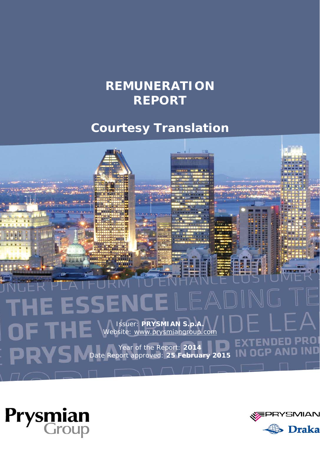# **REMUNERATION REPORT**

# **Courtesy Translation**





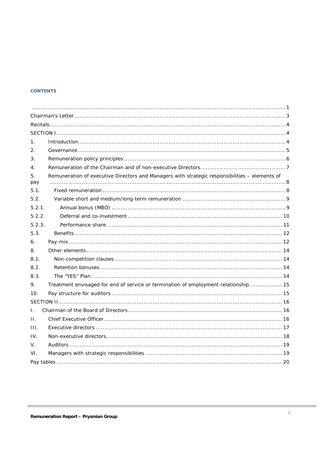#### **CONTENTS**

| 1.             |                                                                                                |  |
|----------------|------------------------------------------------------------------------------------------------|--|
| 2.             |                                                                                                |  |
| 3.             |                                                                                                |  |
| $\mathbf{4}$ . |                                                                                                |  |
| 5.<br>pay      | Remuneration of executive Directors and Managers with strategic responsibilities - elements of |  |
| 5.1.           |                                                                                                |  |
| 5.2.           |                                                                                                |  |
| 5.2.1          |                                                                                                |  |
| 5.2.2.         |                                                                                                |  |
| 5.2.3.         |                                                                                                |  |
| 5.3.           |                                                                                                |  |
| 6.             |                                                                                                |  |
| 8.             |                                                                                                |  |
| 8.1            |                                                                                                |  |
| 8.2.           |                                                                                                |  |
| 8.3.           |                                                                                                |  |
| 9.             | Treatment envisaged for end of service or termination of employment relationship  15           |  |
| 10.            |                                                                                                |  |
|                |                                                                                                |  |
| $\mathbf{L}$   |                                                                                                |  |
| $\Pi$ .        |                                                                                                |  |
| HL.            |                                                                                                |  |
| IV.            |                                                                                                |  |
| V.             |                                                                                                |  |
| VI.            |                                                                                                |  |
|                |                                                                                                |  |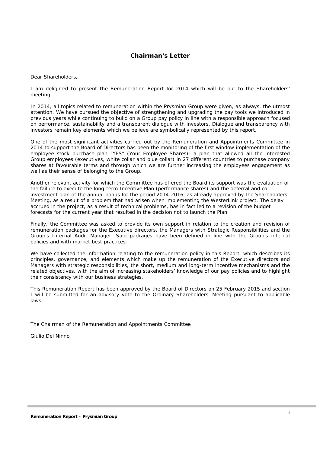# **Chairman's Letter**

Dear Shareholders,

I am delighted to present the Remuneration Report for 2014 which will be put to the Shareholders' meeting.

In 2014, all topics related to remuneration within the Prysmian Group were given, as always, the utmost attention. We have pursued the objective of strengthening and upgrading the pay tools we introduced in previous years while continuing to build on a Group pay policy in line with a responsible approach focused on performance, sustainability and a transparent dialogue with investors. Dialogue and transparency with investors remain key elements which we believe are symbolically represented by this report.

One of the most significant activities carried out by the Remuneration and Appointments Committee in 2014 to support the Board of Directors has been the monitoring of the first window implementation of the employee stock purchase plan "YES" (Your Employee Shares): a plan that allowed all the interested Group employees (executives, white collar and blue collar) in 27 different countries to purchase company shares at favourable terms and through which we are further increasing the employees engagement as well as their sense of belonging to the Group.

Another relevant activity for which the Committee has offered the Board its support was the evaluation of the failure to execute the long-term Incentive Plan (performance shares) and the deferral and coinvestment plan of the annual bonus for the period 2014-2016, as already approved by the Shareholders' Meeting, as a result of a problem that had arisen when implementing the WesterLink project. The delay accrued in the project, as a result of technical problems, has in fact led to a revision of the budget forecasts for the current year that resulted in the decision not to launch the Plan.

Finally, the Committee was asked to provide its own support in relation to the creation and revision of remuneration packages for the Executive directors, the Managers with Strategic Responsibilities and the Group's Internal Audit Manager. Said packages have been defined in line with the Group's internal policies and with market best practices.

We have collected the information relating to the remuneration policy in this Report, which describes its principles, governance, and elements which make up the remuneration of the Executive directors and Managers with strategic responsibilities, the short, medium and long-term incentive mechanisms and the related objectives, with the aim of increasing stakeholders' knowledge of our pay policies and to highlight their consistency with our business strategies.

This Remuneration Report has been approved by the Board of Directors on 25 February 2015 and section I will be submitted for an advisory vote to the Ordinary Shareholders' Meeting pursuant to applicable laws.

The Chairman of the Remuneration and Appointments Committee

Giulio Del Ninno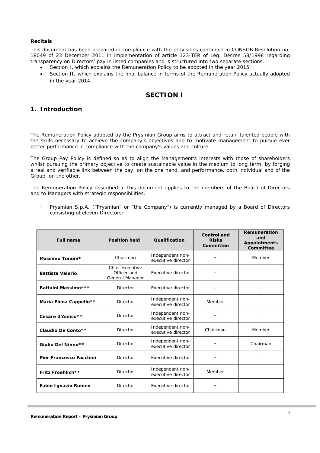#### **Recitals**

This document has been prepared in compliance with the provisions contained in CONSOB Resolution no. 18049 of 23 December 2011 in implementation of article 123-TER of Leg. Decree 58/1998 regarding transparency on Directors' pay in listed companies and is structured into two separate sections:

- Section I, which explains the Remuneration Policy to be adopted in the year 2015;
- Section II, which explains the final balance in terms of the Remuneration Policy actually adopted in the year 2014.

# **SECTION I**

# **1. Introduction**

The Remuneration Policy adopted by the Prysmian Group aims to attract and retain talented people with the skills necessary to achieve the company's objectives and to motivate management to pursue ever better performance in compliance with the company's values and culture.

The Group Pay Policy is defined so as to align the Management's interests with those of shareholders whilst pursuing the primary objective to create sustainable value in the medium to long term, by forging a real and verifiable link between the pay, on the one hand, and performance, both individual and of the Group, on the other.

The Remuneration Policy described in this document applies to the members of the Board of Directors and to Managers with strategic responsibilities.

Prysmian S.p.A. ("Prysmian" or "the Company") is currently managed by a Board of Directors consisting of eleven Directors:

| <b>Full name</b>               | <b>Position held</b>                                     | Qualification                          | <b>Control and</b><br><b>Risks</b><br>Committee | <b>Remuneration</b><br>and<br><b>Appointments</b><br>Committee |
|--------------------------------|----------------------------------------------------------|----------------------------------------|-------------------------------------------------|----------------------------------------------------------------|
| Massimo Tononi*                | Chairman                                                 | Independent non-<br>executive director |                                                 | Member                                                         |
| <b>Battista Valerio</b>        | <b>Chief Executive</b><br>Officer and<br>General Manager | Executive director                     |                                                 |                                                                |
| Battaini Massimo***            | Director                                                 | Executive director                     |                                                 |                                                                |
| Maria Elena Cappello**         | <b>Director</b>                                          | Independent non-<br>executive director | Member                                          |                                                                |
| Cesare d'Amico**               | Director                                                 | Independent non-<br>executive director |                                                 |                                                                |
| Claudio De Conto**             | <b>Director</b>                                          | Independent non-<br>executive director | Chairman                                        | Member                                                         |
| Giulio Del Ninno**             | Director                                                 | Independent non-<br>executive director |                                                 | Chairman                                                       |
| <b>Pier Francesco Facchini</b> | Director                                                 | Executive director                     |                                                 |                                                                |
| Fritz Froehlich**              | Director                                                 | Independent non-<br>executive director | Member                                          |                                                                |
| Fabio Ignazio Romeo            | Director                                                 | Executive director                     |                                                 |                                                                |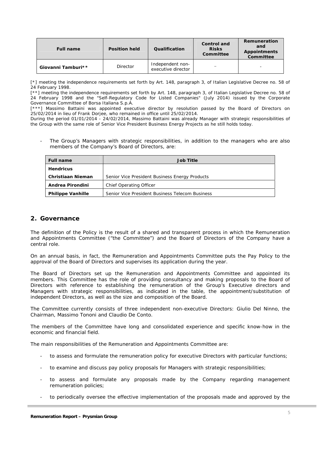| <b>Full name</b>   | <b>Position held</b> | Qualification                          | Control and<br><b>Risks</b><br>Committee | Remuneration<br>and<br><b>Appointments</b><br>Committee |
|--------------------|----------------------|----------------------------------------|------------------------------------------|---------------------------------------------------------|
| Giovanni Tamburi** | Director             | Independent non-<br>executive director | $\qquad \qquad$                          | -                                                       |

[\*] meeting the independence requirements set forth by Art. 148, paragraph 3, of Italian Legislative Decree no. 58 of 24 February 1998.

[\*\*] meeting the independence requirements set forth by Art. 148, paragraph 3, of Italian Legislative Decree no. 58 of 24 February 1998 and the "Self-Regulatory Code for Listed Companies" (July 2014) issued by the Corporate Governance Committee of Borsa Italiana S.p.A.

[\*\*\*] Massimo Battaini was appointed executive director by resolution passed by the Board of Directors on 25/02/2014 in lieu of Frank Dorjee, who remained in office until 25/02/2014.

During the period 01/01/2014 - 24/02/2014, Massimo Battaini was already Manager with strategic responsibilities of the Group with the same role of Senior Vice President Business Energy Projects as he still holds today.

The Group's Managers with strategic responsibilities, in addition to the managers who are also members of the Company's Board of Directors, are:

| <b>Full name</b>         | Job Title                                       |  |  |  |  |  |  |  |
|--------------------------|-------------------------------------------------|--|--|--|--|--|--|--|
| <b>Hendricus</b>         |                                                 |  |  |  |  |  |  |  |
| <b>Christiaan Nieman</b> | Senior Vice President Business Energy Products  |  |  |  |  |  |  |  |
| Andrea Pirondini         | Chief Operating Officer                         |  |  |  |  |  |  |  |
| <b>Philippe Vanhille</b> | Senior Vice President Business Telecom Business |  |  |  |  |  |  |  |

### **2. Governance**

The definition of the Policy is the result of a shared and transparent process in which the Remuneration and Appointments Committee ("the Committee") and the Board of Directors of the Company have a central role.

On an annual basis, in fact, the Remuneration and Appointments Committee puts the Pay Policy to the approval of the Board of Directors and supervises its application during the year.

The Board of Directors set up the Remuneration and Appointments Committee and appointed its members. This Committee has the role of providing consultancy and making proposals to the Board of Directors with reference to establishing the remuneration of the Group's Executive directors and Managers with strategic responsibilities, as indicated in the table, the appointment/substitution of independent Directors, as well as the size and composition of the Board.

The Committee currently consists of three independent non-executive Directors: Giulio Del Ninno, the Chairman, Massimo Tononi and Claudio De Conto.

The members of the Committee have long and consolidated experience and specific know-how in the economic and financial field.

The main responsibilities of the Remuneration and Appointments Committee are:

- to assess and formulate the remuneration policy for executive Directors with particular functions;
- to examine and discuss pay policy proposals for Managers with strategic responsibilities;
- to assess and formulate any proposals made by the Company regarding management remuneration policies;
- to periodically oversee the effective implementation of the proposals made and approved by the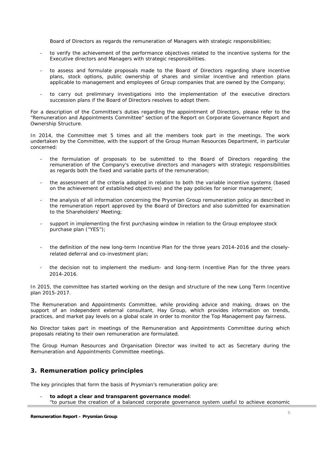Board of Directors as regards the remuneration of Managers with strategic responsibilities;

- to verify the achievement of the performance objectives related to the incentive systems for the Executive directors and Managers with strategic responsibilities.
- to assess and formulate proposals made to the Board of Directors regarding share incentive plans, stock options, public ownership of shares and similar incentive and retention plans applicable to management and employees of Group companies that are owned by the Company;
- to carry out preliminary investigations into the implementation of the executive directors succession plans if the Board of Directors resolves to adopt them.

For a description of the Committee's duties regarding the appointment of Directors, please refer to the "Remuneration and Appointments Committee" section of the Report on Corporate Governance Report and Ownership Structure.

In 2014, the Committee met 5 times and all the members took part in the meetings. The work undertaken by the Committee, with the support of the Group Human Resources Department, in particular concerned:

- the formulation of proposals to be submitted to the Board of Directors regarding the remuneration of the Company's executive directors and managers with strategic responsibilities as regards both the fixed and variable parts of the remuneration;
- the assessment of the criteria adopted in relation to both the variable incentive systems (based on the achievement of established objectives) and the pay policies for senior management;
- the analysis of all information concerning the Prysmian Group remuneration policy as described in the remuneration report approved by the Board of Directors and also submitted for examination to the Shareholders' Meeting;
- support in implementing the first purchasing window in relation to the Group employee stock purchase plan ("YES");
- the definition of the new long-term Incentive Plan for the three years 2014-2016 and the closelyrelated deferral and co-investment plan;
- the decision not to implement the medium- and long-term Incentive Plan for the three years 2014-2016.

In 2015, the committee has started working on the design and structure of the new Long Term Incentive plan 2015-2017.

The Remuneration and Appointments Committee, while providing advice and making, draws on the support of an independent external consultant, Hay Group, which provides information on trends, practices, and market pay levels on a global scale in order to monitor the Top Management pay fairness.

No Director takes part in meetings of the Remuneration and Appointments Committee during which proposals relating to their own remuneration are formulated.

The Group Human Resources and Organisation Director was invited to act as Secretary during the Remuneration and Appointments Committee meetings.

# **3. Remuneration policy principles**

The key principles that form the basis of Prysmian's remuneration policy are:

- **to adopt a clear and transparent governance model**:
- *"to pursue the creation of a balanced corporate governance system useful to achieve economic*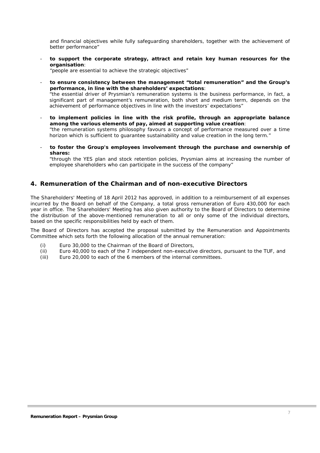*and financial objectives while fully safeguarding shareholders, together with the achievement of better performance"* 

- **to support the corporate strategy, attract and retain key human resources for the organisation**:

*"people are essential to achieve the strategic objectives"* 

to ensure consistency between the management "total remuneration" and the Group's **performance, in line with the shareholders' expectations**: *"the essential driver of Prysmian's remuneration systems is the business performance, in fact, a* 

*significant part of management's remuneration, both short and medium term, depends on the achievement of performance objectives in line with the investors' expectations"* 

- **to implement policies in line with the risk profile, through an appropriate balance among the various elements of pay, aimed at supporting value creation**:

*"the remuneration systems philosophy favours a concept of performance measured over a time horizon which is sufficient to guarantee sustainability and value creation in the long term."* 

to foster the Group's employees involvement through the purchase and ownership of **shares:**

*"through the YES plan and stock retention policies, Prysmian aims at increasing the number of employee shareholders who can participate in the success of the company"* 

# **4. Remuneration of the Chairman and of non-executive Directors**

The Shareholders' Meeting of 18 April 2012 has approved, in addition to a reimbursement of all expenses incurred by the Board on behalf of the Company, a total gross remuneration of Euro 430,000 for each year in office. The Shareholders' Meeting has also given authority to the Board of Directors to determine the distribution of the above-mentioned remuneration to all or only some of the individual directors, based on the specific responsibilities held by each of them.

The Board of Directors has accepted the proposal submitted by the Remuneration and Appointments Committee which sets forth the following allocation of the annual remuneration:

- (i) Euro 30,000 to the Chairman of the Board of Directors,
- (ii) Euro 40,000 to each of the 7 independent non-executive directors, pursuant to the TUF, and
- (iii) Euro 20,000 to each of the 6 members of the internal committees.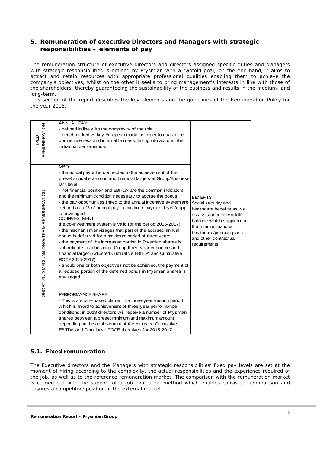# **5. Remuneration of executive Directors and Managers with strategic responsibilities – elements of pay**

The remuneration structure of executive directors and directors assigned specific duties and Managers with strategic responsibilities is defined by Prysmian with a twofold goal; on the one hand, it aims to attract and retain resources with appropriate professional qualities enabling them to achieve the company's objectives, whilst on the other it seeks to bring management's interests in line with those of the shareholders, thereby guaranteeing the sustainability of the business and results in the medium- and long-term.

This section of the report describes the key elements and the guidelines of the Remuneration Policy for the year 2015.

| <b>REMUNERATION</b><br><b>FIXED</b>     | <b>ANNUAL PAY</b><br>- defined in line with the complexity of the role<br>- benchmarked vs key European market in order to guarantee<br>competitiveness and internal fairness, taking into account the<br>individual performanca.                                                                                                                                                                                                                                                                                                                                                                                                                                                                                                                                                                                                                                                                                                                                                                                                                                                                                                                                                                                                                                                                                                                                                                                      |                                                                                                                                                                                                                                 |
|-----------------------------------------|------------------------------------------------------------------------------------------------------------------------------------------------------------------------------------------------------------------------------------------------------------------------------------------------------------------------------------------------------------------------------------------------------------------------------------------------------------------------------------------------------------------------------------------------------------------------------------------------------------------------------------------------------------------------------------------------------------------------------------------------------------------------------------------------------------------------------------------------------------------------------------------------------------------------------------------------------------------------------------------------------------------------------------------------------------------------------------------------------------------------------------------------------------------------------------------------------------------------------------------------------------------------------------------------------------------------------------------------------------------------------------------------------------------------|---------------------------------------------------------------------------------------------------------------------------------------------------------------------------------------------------------------------------------|
| SHORT AND MEDIUM/LONG-TERM REMUNERATION | <b>MBO</b><br>- the actual payout is connected to the achievement of the<br>preset annual economic and financial targets at Group/Business<br>Unit level<br>- net financial position and EBITDA are the common indicators<br>and the minimum condition necessary to accrue the bonus<br>- the pay opportunities linked to the annual incentive system are<br>defined as a % of annual pay; a maximum payment level (cap)<br>is envisaged.<br><b>CO-INVESTMENT</b><br>the co-investment system is valid for the period 2015-2017:<br>- the mechanism envisages that part of the accrued annual<br>bonus is deferred for a maximum period of three years<br>- the payment of the increased portion in Prysmian shares is<br>subordinate to achieving a Group three-year economic and<br>financial target (Adjusted Cumulative EBITDA and Cumulative<br>ROCE 2015-2017)<br>- should one or both objectives not be achieved, the payment of<br>a reduced portion of the deferred bonus in Prysmian shares is<br>envisaged.<br>PERFORMANCE SHARE<br>- This is a share-based plan with a three-year vesting period<br>w hich is linked to achievement of three-year performance<br>conditions: in 2018 directors will receive a number of Prysmian<br>shares betw een a preset minimum and maximum amount<br>depending on the achievement of the Adjusted Cumulative<br>EBITDA and Cumulative ROCE objectives for 2015-2017. | <b>BENEFITS</b><br>Social security and<br>healthcare benefits as well<br>as assistance in w ork life<br>balance w hich supplement<br>the minimum national<br>healthcare/pension plans<br>and other contractual<br>requirements. |

### *5.1. Fixed remuneration*

The Executive directors and the Managers with strategic responsibilities' fixed pay levels are set at the moment of hiring according to the complexity, the actual responsibilities and the experience required of the job, as well as to the reference remuneration market. The comparison with the remuneration market is carried out with the support of a job evaluation method which enables consistent comparison and ensures a competitive position in the external market.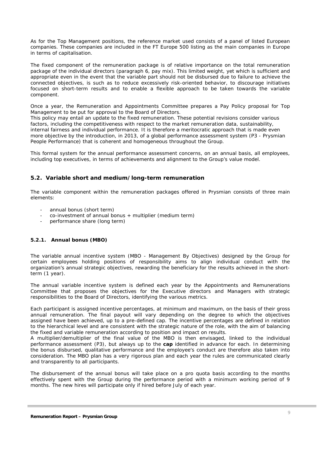As for the Top Management positions, the reference market used consists of a panel of listed European companies. These companies are included in the *FT Europe 500 listing* as the main companies in Europe in terms of capitalisation.

The fixed component of the remuneration package is of relative importance on the total remuneration package of the individual directors (paragraph 6, pay mix). This limited weight, yet which is sufficient and appropriate even in the event that the variable part should not be disbursed due to failure to achieve the connected objectives, is such as to reduce excessively risk-oriented behavior, to discourage initiatives focused on short-term results and to enable a flexible approach to be taken towards the variable component.

Once a year, the Remuneration and Appointments Committee prepares a Pay Policy proposal for Top Management to be put for approval to the Board of Directors.

This policy may entail an update to the fixed remuneration. These potential revisions consider various factors, including the competitiveness with respect to the market remuneration data, sustainability, internal fairness and individual performance. It is therefore a meritocratic approach that is made even more objective by the introduction, in 2013, of a global performance assessment system (P3 - Prysmian People Performance) that is coherent and homogeneous throughout the Group.

This formal system for the annual performance assessment concerns, on an annual basis, all employees, including top executives, in terms of achievements and alignment to the Group's value model.

### *5.2. Variable short and medium/long-term remuneration*

The variable component within the remuneration packages offered in Prysmian consists of three main elements:

- annual bonus (short term)
- $co$ -investment of annual bonus  $+$  multiplier (medium term)
- performance share (long term)

#### *5.2.1. Annual bonus (MBO)*

The variable annual incentive system (MBO - Management By Objectives) designed by the Group for certain employees holding positions of responsibility aims to align individual conduct with the organization's annual strategic objectives, rewarding the beneficiary for the results achieved in the shortterm (1 year).

The annual variable incentive system is defined each year by the Appointments and Remunerations Committee that proposes the objectives for the Executive directors and Managers with strategic responsibilities to the Board of Directors, identifying the various metrics.

Each participant is assigned incentive percentages, at minimum and maximum, on the basis of their gross annual remuneration. The final payout will vary depending on the degree to which the objectives assigned have been achieved, up to a pre-defined cap. The incentive percentages are defined in relation to the hierarchical level and are consistent with the strategic nature of the role, with the aim of balancing the fixed and variable remuneration according to position and impact on results.

A multiplier/demultiplier of the final value of the MBO is then envisaged, linked to the individual performance assessment (P3), but always up to the **cap** identified in advance for each. In determining the bonus disbursed, qualitative performance and the employee's conduct are therefore also taken into consideration. The MBO plan has a very rigorous plan and each year the rules are communicated clearly and transparently to all participants.

The disbursement of the annual bonus will take place on a pro quota basis according to the months effectively spent with the Group during the performance period with a minimum working period of 9 months. The new hires will participate only if hired before July of each year.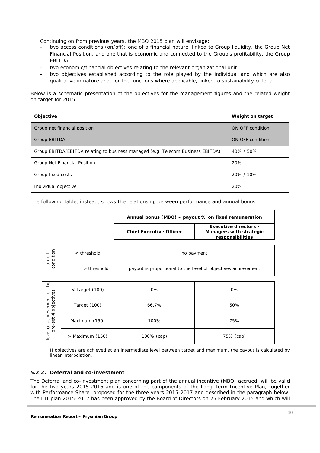Continuing on from previous years, the MBO 2015 plan will envisage:

- two access conditions (on/off); one of a financial nature, linked to Group liquidity, the Group Net Financial Position, and one that is economic and connected to the Group's profitability, the Group EBITDA.
- two economic/financial objectives relating to the relevant organizational unit
- two objectives established according to the role played by the individual and which are also qualitative in nature and, for the functions where applicable, linked to sustainability criteria.

Below is a schematic presentation of the objectives for the management figures and the related weight on target for 2015.

| Objective                                                                       | Weight on target |
|---------------------------------------------------------------------------------|------------------|
| Group net financial position                                                    | ON OFF condition |
| Group EBITDA                                                                    | ON OFF condition |
| Group EBITDA/EBITDA relating to business managed (e.g. Telecom Business EBITDA) | 40% / 50%        |
| Group Net Financial Position                                                    | 20%              |
| Group fixed costs                                                               | 20% / 10%        |
| Individual objective                                                            | 20%              |

The following table, instead, shows the relationship between performance and annual bonus:

|                     |               | Annual bonus (MBO) - payout % on fixed remuneration           |                                                                             |  |  |  |  |  |  |  |  |
|---------------------|---------------|---------------------------------------------------------------|-----------------------------------------------------------------------------|--|--|--|--|--|--|--|--|
|                     |               | <b>Chief Executive Officer</b>                                | <b>Executive directors -</b><br>Managers with strategic<br>responsibilities |  |  |  |  |  |  |  |  |
|                     | $<$ threshold |                                                               | no payment                                                                  |  |  |  |  |  |  |  |  |
| on-off<br>condition | > threshold   | payout is proportional to the level of objectives achievement |                                                                             |  |  |  |  |  |  |  |  |
|                     |               |                                                               |                                                                             |  |  |  |  |  |  |  |  |

| $\overline{5}$<br>ΘS<br>$\sigma$          | < Target (100)    | 0%         | 0%        |  |  |  |  |
|-------------------------------------------|-------------------|------------|-----------|--|--|--|--|
| ement<br>objectiv                         | Target (100)      | 66.7%      | 50%       |  |  |  |  |
| achiev<br>$\overline{4}$<br>set<br>ď<br>ف | Maximum (150)     | 100%       | 75%       |  |  |  |  |
| ă<br>level                                | $>$ Maximum (150) | 100% (cap) | 75% (cap) |  |  |  |  |

*If objectives are achieved at an intermediate level between target and maximum, the payout is calculated by linear interpolation.* 

#### **5.2.2.** *Deferral and co-investment*

The Deferral and co-investment plan concerning part of the annual incentive (MBO) accrued, will be valid for the two years 2015-2016 and is one of the components of the Long Term Incentive Plan, together with Performance Share, proposed for the three years 2015-2017 and described in the paragraph below. The LTI plan 2015-2017 has been approved by the Board of Directors on 25 February 2015 and which will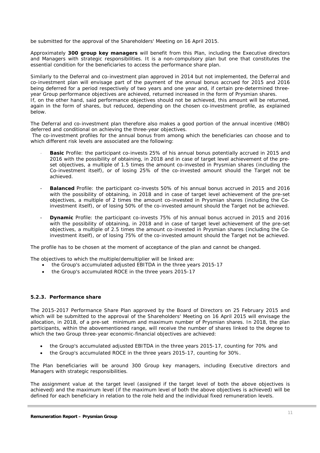be submitted for the approval of the Shareholders' Meeting on 16 April 2015.

Approximately **300 group key managers** will benefit from this Plan, including the Executive directors and Managers with strategic responsibilities. It is a non-compulsory plan but one that constitutes the essential condition for the beneficiaries to access the performance share plan.

Similarly to the Deferral and co-investment plan approved in 2014 but not implemented, the Deferral and co-investment plan will envisage part of the payment of the annual bonus accrued for 2015 and 2016 being deferred for a period respectively of two years and one year and, if certain pre-determined threeyear Group performance objectives are achieved, returned increased in the form of Prysmian shares. If, on the other hand, said performance objectives should not be achieved, this amount will be returned, again in the form of shares, but reduced, depending on the chosen co-investment profile, as explained below.

The Deferral and co-investment plan therefore also makes a good portion of the annual incentive (MBO) deferred and conditional on achieving the three-year objectives.

 The co-investment profiles for the annual bonus from among which the beneficiaries can choose and to which different risk levels are associated are the following:

- **Basic** Profile: the participant co-invests 25% of his annual bonus potentially accrued in 2015 and 2016 with the possibility of obtaining, in 2018 and in case of target level achievement of the preset objectives, a multiple of 1.5 times the amount co-invested in Prysmian shares (including the Co-investment itself), or of losing 25% of the co-invested amount should the Target not be achieved.
- *Balanced Profile*: the participant co-invests 50% of his annual bonus accrued in 2015 and 2016 with the possibility of obtaining, in 2018 and in case of target level achievement of the pre-set objectives, a multiple of 2 times the amount co-invested in Prysmian shares (including the Coinvestment itself), or of losing 50% of the co-invested amount should the Target not be achieved.
- *Dynamic Profile*: the participant co-invests 75% of his annual bonus accrued in 2015 and 2016 with the possibility of obtaining, in 2018 and in case of target level achievement of the pre-set objectives, a multiple of 2.5 times the amount co-invested in Prysmian shares (including the Coinvestment itself), or of losing 75% of the co-invested amount should the Target not be achieved.

The profile has to be chosen at the moment of acceptance of the plan and cannot be changed.

The objectives to which the multiple/demultiplier will be linked are:

- the Group's accumulated adjusted EBITDA in the three years 2015-17
- the Group's accumulated ROCE in the three years 2015-17

#### *5.2.3. Performance share*

The 2015-2017 Performance Share Plan approved by the Board of Directors on 25 February 2015 and which will be submitted to the approval of the Shareholders' Meeting on 16 April 2015 will envisage the allocation, in 2018, of a pre-set minimum and maximum number of Prysmian shares. In 2018, the plan participants, within the abovementioned range, will receive the number of shares linked to the degree to which the two Group three-year economic-financial objectives are achieved:

- the Group's accumulated adjusted EBITDA in the three years 2015-17, counting for 70% and
- the Group's accumulated ROCE in the three years 2015-17, counting for 30%.

The Plan beneficiaries will be around 300 Group key managers, including Executive directors and Managers with strategic responsibilities.

The assignment value at the target level (assigned if the target level of both the above objectives is achieved) and the maximum level (if the maximum level of both the above objectives is achieved) will be defined for each beneficiary in relation to the role held and the individual fixed remuneration levels.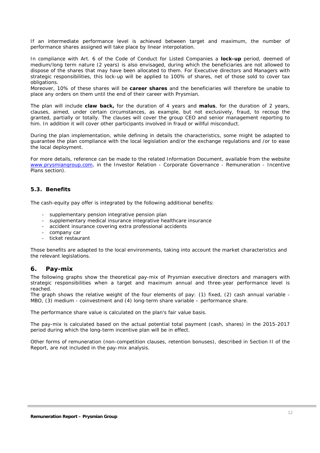If an intermediate performance level is achieved between target and maximum, the number of performance shares assigned will take place by linear interpolation.

In compliance with Art. 6 of the *Code of Conduct for Listed Companies* a **lock-up** period, deemed of medium/long term nature (2 years) is also envisaged, during which the beneficiaries are not allowed to dispose of the shares that may have been allocated to them. For Executive directors and Managers with strategic responsibilities, this lock-up will be applied to 100% of shares, net of those sold to cover tax obligations.

Moreover, 10% of these shares will be **career shares** and the beneficiaries will therefore be unable to place any orders on them until the end of their career with Prysmian.

The plan will include **claw back,** for the duration of 4 years and **malus**, for the duration of 2 years, clauses, aimed, under certain circumstances, as example, but not exclusively, fraud, to recoup the granted, partially or totally. The clauses will cover the group CEO and senior management reporting to him. In addition it will cover other participants involved in fraud or willful misconduct.

During the plan implementation, while defining in details the characteristics, some might be adapted to guarantee the plan compliance with the local legislation and/or the exchange regulations and /or to ease the local deployment.

For more details, reference can be made to the related Information Document, available from the website www.prysmiangroup.com, in the Investor Relation - Corporate Governance - Remuneration - Incentive Plans section).

### *5.3. Benefits*

The cash-equity pay offer is integrated by the following additional benefits:

- supplementary pension integrative pension plan
- supplementary medical insurance integrative healthcare insurance
- accident insurance covering extra professional accidents
- company car
- ticket restaurant

Those benefits are adapted to the local environments, taking into account the market characteristics and the relevant legislations.

### **6. Pay-mix**

The following graphs show the theoretical pay-mix of Prysmian executive directors and managers with strategic responsibilities when a target and maximum annual and three-year performance level is reached.

The graph shows the relative weight of the four elements of pay: (1) fixed, (2) cash annual variable - MBO, (3) medium - coinvestment and (4) long-term share variable – performance share.

The performance share value is calculated on the plan's fair value basis.

The pay-mix is calculated based on the actual potential total payment (cash, shares) in the 2015-2017 period during which the long-term incentive plan will be in effect.

Other forms of remuneration (non-competition clauses, retention bonuses), described in Section II of the Report, are not included in the pay-mix analysis.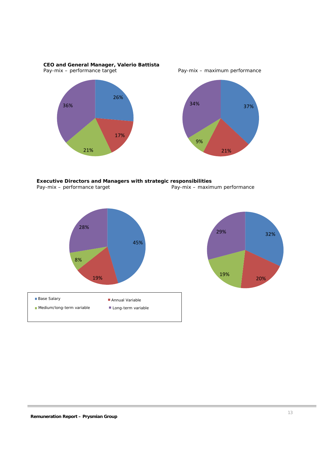*CEO and General Manager, Valerio Battista*  Pay-mix – performance target  $\frac{1}{2}$  Pay-mix – maximum performance





*Executive Directors and Managers with strategic responsibilities*  Pay-mix – performance target Pay-mix – maximum performance



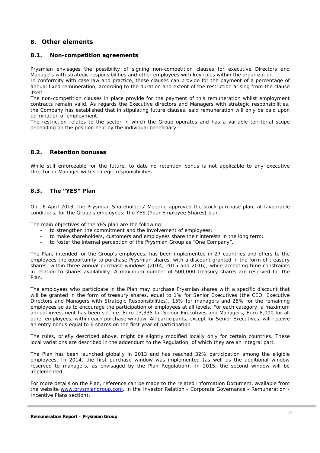# *8.* **Other elements**

#### *8.1. Non-competition agreements*

Prysmian envisages the possibility of signing non-competition clauses for executive Directors and Managers with strategic responsibilities and other employees with key roles within the organization. In conformity with case law and practice, these clauses can provide for the payment of a percentage of

annual fixed remuneration, according to the duration and extent of the restriction arising from the clause itself.

The non-competition clauses in place provide for the payment of this remuneration whilst employment contracts remain valid. As regards the Executive directors and Managers with strategic responsibilities, the Company has established that in stipulating future clauses, said remuneration will only be paid upon termination of employment.

The restriction relates to the sector in which the Group operates and has a variable territorial scope depending on the position held by the individual beneficiary.

#### *8.2. Retention bonuses*

While still enforceable for the future, to date no retention bonus is not applicable to any executive Director or Manager with strategic responsibilities.

#### *8.3. The "YES" Plan*

On 16 April 2013, the Prysmian Shareholders' Meeting approved the stock purchase plan, at favourable conditions, for the Group's employees: the YES (Your Employee Shares) plan.

The main objectives of the YES plan are the following:

- to strengthen the commitment and the involvement of employees;
- to make shareholders, customers and employees share their interests in the long term;
- to foster the internal perception of the Prysmian Group as "One Company".

The Plan, intended for the Group's employees, has been implemented in 27 countries and offers to the employees the opportunity to purchase Prysmian shares, with a discount granted in the form of treasury shares, within three annual purchase windows (2014, 2015 and 2016), while accepting time constraints in relation to shares availability. A maximum number of 500,000 treasury shares are reserved for the Plan.

The employees who participate in the Plan may purchase Prysmian shares with a specific discount that will be granted in the form of treasury shares, equal to 1% for Senior Executives (the CEO, Executive Directors and Managers with Strategic Responsibilities), 15% for managers and 25% for the remaining employees so as to encourage the participation of employees at all levels. For each category, a maximum annual investment has been set, i.e. Euro 13,335 for Senior Executives and Managers, Euro 8,000 for all other employees, within each purchase window. All participants, except for Senior Executives, will receive an entry bonus equal to 6 shares on the first year of participation.

The rules, briefly described above, might be slightly modified locally only for certain countries. These local variations are described in the addendum to the Regulation, of which they are an integral part.

The Plan has been launched globally in 2013 and has reached 32% participation among the eligible employees. In 2014, the first purchase window was implemented (as well as the additional window reserved to managers, as envisaged by the Plan Regulation). In 2015, the second window will be implemented.

For more details on the Plan, reference can be made to the related Information Document, available from the website www.prysmiangroup.com, in the Investor Relation - Corporate Governance - Remuneration - Incentive Plans section).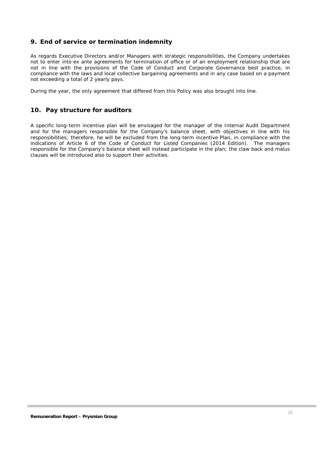# **9. End of service or termination indemnity**

As regards Executive Directors and/or Managers with strategic responsibilities, the Company undertakes not to enter into *ex ante* agreements for termination of office or of an employment relationship that are not in line with the provisions of the Code of Conduct and Corporate Governance best practice, in compliance with the laws and local collective bargaining agreements and in any case based on a payment not exceeding a total of 2 yearly pays.

During the year, the only agreement that differed from this Policy was also brought into line.

# **10. Pay structure for auditors**

A specific long-term incentive plan will be envisaged for the manager of the Internal Audit Department and for the managers responsible for the Company's balance sheet, with objectives in line with his responsibilities; therefore, he will be excluded from the long-term incentive Plan, in compliance with the indications of Article 6 of the Code of Conduct for Listed Companies (2014 Edition). The managers responsible for the Company's balance sheet will instead participate in the plan; the claw back and malus clauses will be introduced also to support their activities.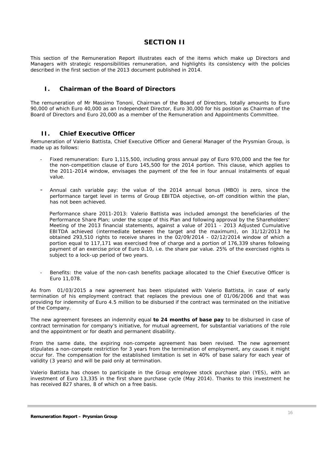# **SECTION II**

This section of the Remuneration Report illustrates each of the items which make up Directors and Managers with strategic responsibilities remuneration, and highlights its consistency with the policies described in the first section of the 2013 document published in 2014.

# **I. Chairman of the Board of Directors**

The remuneration of Mr Massimo Tononi, Chairman of the Board of Directors, totally amounts to Euro 90,000 of which Euro 40,000 as an Independent Director, Euro 30,000 for his position as Chairman of the Board of Directors and Euro 20,000 as a member of the Remuneration and Appointments Committee.

### **II. Chief Executive Officer**

Remuneration of Valerio Battista, Chief Executive Officer and General Manager of the Prysmian Group, is made up as follows:

- *Fixed remuneration:* Euro 1,115,500, including gross annual pay of Euro 970,000 and the fee for the non-competition clause of Euro 145,500 for the 2014 portion. This clause, which applies to the 2011-2014 window, envisages the payment of the fee in four annual instalments of equal value.
- *Annual cash variable pay:* the value of the 2014 annual bonus (MBO) is zero, since the performance target level in terms of Group EBITDA objective, on-off condition within the plan, has not been achieved.

*Performance share 2011-2013:* Valerio Battista was included amongst the beneficiaries of the Performance Share Plan; under the scope of this Plan and following approval by the Shareholders' Meeting of the 2013 financial statements, against a value of 2011 - 2013 Adjusted Cumulative EBITDA achieved (intermediate between the target and the maximum), on 31/12/2013 he obtained 293,510 rights to receive shares in the 02/09/2014 - 02/12/2014 window of which a portion equal to 117,171 was exercised free of charge and a portion of 176,339 shares following payment of an exercise price of Euro 0.10, i.e. the share par value. 25% of the exercised rights is subject to a lock-up period of two years.

- *Benefits*: the value of the non-cash benefits package allocated to the Chief Executive Officer is Euro 11,078.

As from 01/03/2015 a new agreement has been stipulated with Valerio Battista, in case of early termination of his employment contract that replaces the previous one of 01/06/2006 and that was providing for indemnity of Euro 4.5 million to be disbursed if the contract was terminated on the initiative of the Company.

The new agreement foresees an indemnity equal **to 24 months of base pay** to be disbursed in case of contract termination for company's initiative, for mutual agreement, for substantial variations of the role and the appointment or for death and permanent disability.

From the same date, the expiring non-compete agreement has been revised. The new agreement stipulates a non-compete restriction for 3 years from the termination of employment, any causes it might occur for. The compensation for the established limitation is set in 40% of base salary for each year of validity (3 years) and will be paid only at termination.

Valerio Battista has chosen to participate in the Group employee stock purchase plan (YES), with an investment of Euro 13,335 in the first share purchase cycle (May 2014). Thanks to this investment he has received 827 shares, 8 of which on a free basis.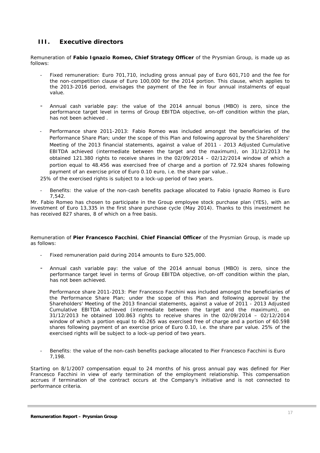# **III. Executive directors**

Remuneration of **Fabio Ignazio Romeo, Chief Strategy Officer** of the Prysmian Group, is made up as follows:

- *Fixed remuneration:* Euro 701,710, including gross annual pay of Euro 601,710 and the fee for the non-competition clause of Euro 100,000 for the 2014 portion. This clause, which applies to the 2013-2016 period, envisages the payment of the fee in four annual instalments of equal value.
- *Annual cash variable pay:* the value of the 2014 annual bonus (MBO) is zero, since the performance target level in terms of Group EBITDA objective, on-off condition within the plan, has not been achieved .
- *Performance share 2011-2013*: Fabio Romeo was included amongst the beneficiaries of the Performance Share Plan; under the scope of this Plan and following approval by the Shareholders' Meeting of the 2013 financial statements, against a value of 2011 - 2013 Adjusted Cumulative EBITDA achieved (intermediate between the target and the maximum), on 31/12/2013 he obtained 121.380 rights to receive shares in the 02/09/2014 – 02/12/2014 window of which a portion equal to 48.456 was exercised free of charge and a portion of 72.924 shares following payment of an exercise price of Euro 0.10 euro, i.e. the share par value..

25% of the exercised rights is subject to a lock-up period of two years.

- *Benefits*: the value of the non-cash benefits package allocated to Fabio Ignazio Romeo is Euro 7,542.

Mr. Fabio Romeo has chosen to participate in the Group employee stock purchase plan (YES), with an investment of Euro 13,335 in the first share purchase cycle (May 2014). Thanks to this investment he has received 827 shares, 8 of which on a free basis.

Remuneration of **Pier Francesco Facchini**, **Chief Financial Officer** of the Prysmian Group, is made up as follows:

- *Fixed remuneration* paid during 2014 amounts to Euro 525,000.
- *Annual cash variable pay:* the value of the 2014 annual bonus (MBO) is zero, since the performance target level in terms of Group EBITDA objective, on-off condition within the plan, has not been achieved.

*Performance share 2011-2013*: Pier Francesco Facchini was included amongst the beneficiaries of the Performance Share Plan; under the scope of this Plan and following approval by the Shareholders' Meeting of the 2013 financial statements, against a value of 2011 - 2013 Adjusted Cumulative EBITDA achieved (intermediate between the target and the maximum), on 31/12/2013 he obtained 100.863 rights to receive shares in the 02/09/2014 – 02/12/2014 window of which a portion equal to 40.265 was exercised free of charge and a portion of 60.598 shares following payment of an exercise price of Euro 0.10, i.e. the share par value. 25% of the exercised rights will be subject to a lock-up period of two years.

- *Benefits*: the value of the non-cash benefits package allocated to Pier Francesco Facchini is Euro 7,198.

Starting on 8/1/2007 compensation equal to 24 months of his gross annual pay was defined for Pier Francesco Facchini in view of early termination of the employment relationship. This compensation accrues if termination of the contract occurs at the Company's initiative and is not connected to performance criteria.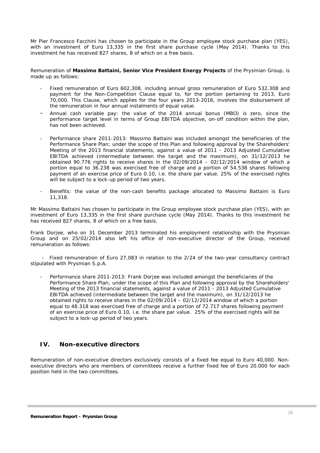Mr Pier Francesco Facchini has chosen to participate in the Group employee stock purchase plan (YES), with an investment of Euro 13,335 in the first share purchase cycle (May 2014). Thanks to this investment he has received 827 shares, 8 of which on a free basis.

Remuneration of **Massimo Battaini, Senior Vice President Energy Projects** of the Prysmian Group, is made up as follows:

- *Fixed remuneration* of Euro 602,308, including annual gross remuneration of Euro 532,308 and payment for the Non-Competition Clause equal to, for the portion pertaining to 2013, Euro 70,000. This Clause, which applies for the four years 2013-2016, involves the disbursement of the remuneration in four annual instalments of equal value.
- *Annual cash variable pay:* the value of the 2014 annual bonus (MBO) is zero, since the performance target level in terms of Group EBITDA objective, on-off condition within the plan, has not been achieved.
- *Performance share 2011-2013*: Massimo Battaini was included amongst the beneficiaries of the Performance Share Plan; under the scope of this Plan and following approval by the Shareholders' Meeting of the 2013 financial statements, against a value of 2011 - 2013 Adjusted Cumulative EBITDA achieved (intermediate between the target and the maximum), on 31/12/2013 he obtained 90.776 rights to receive shares in the 02/09/2014 – 02/12/2014 window of which a portion equal to 36.238 was exercised free of charge and a portion of 54.538 shares following payment of an exercise price of Euro 0.10, i.e. the share par value. 25% of the exercised rights will be subject to a lock-up period of two years.
- Benefits: the value of the non-cash benefits package allocated to Massimo Battaini is Euro 11,318.

Mr Massimo Battaini has chosen to participate in the Group employee stock purchase plan (YES), with an investment of Euro 13,335 in the first share purchase cycle (May 2014). Thanks to this investment he has received 827 shares, 8 of which on a free basis.

Frank Dorjee, who on 31 December 2013 terminated his employment relationship with the Prysmian Group and on 25/02/2014 also left his office of non-executive director of the Group, received remuneration as follows:

- Fixed remuneration of Euro 27,083 in relation to the 2/24 of the two-year consultancy contract stipulated with Prysmian S.p.A.

- *Performance share 2011-2013*: Frank Dorjee was included amongst the beneficiaries of the Performance Share Plan; under the scope of this Plan and following approval by the Shareholders' Meeting of the 2013 financial statements, against a value of 2011 - 2013 Adjusted Cumulative EBITDA achieved (intermediate between the target and the maximum), on 31/12/2013 he obtained rights to receive shares in the 02/09/2014 – 02/12/2014 window of which a portion equal to 48.318 was exercised free of charge and a portion of 72.717 shares following payment of an exercise price of Euro 0.10, i.e. the share par value. 25% of the exercised rights will be subject to a lock-up period of two years.

# **IV. Non-executive directors**

Remuneration of non-executive directors exclusively consists of a fixed fee equal to Euro 40,000. Nonexecutive directors who are members of committees receive a further fixed fee of Euro 20.000 for each position held in the two committees.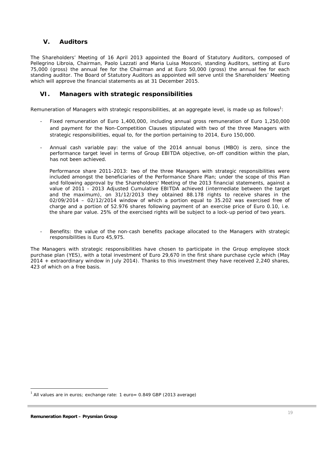# **V. Auditors**

The Shareholders' Meeting of 16 April 2013 appointed the Board of Statutory Auditors, composed of Pellegrino Libroia, Chairman, Paolo Lazzati and Maria Luisa Mosconi, standing Auditors, setting at Euro 75,000 (gross) the annual fee for the Chairman and at Euro 50,000 (gross) the annual fee for each standing auditor. The Board of Statutory Auditors as appointed will serve until the Shareholders' Meeting which will approve the financial statements as at 31 December 2015.

# **VI. Managers with strategic responsibilities**

Remuneration of Managers with strategic responsibilities, at an aggregate level, is made up as follows<sup>1</sup>:

- *Fixed remuneration* of Euro 1,400,000, including annual gross remuneration of Euro 1,250,000 and payment for the Non-Competition Clauses stipulated with two of the three Managers with strategic responsibilities, equal to, for the portion pertaining to 2014, Euro 150,000.
- *Annual cash variable pay:* the value of the 2014 annual bonus (MBO) is zero, since the performance target level in terms of Group EBITDA objective, on-off condition within the plan, has not been achieved.

*Performance share 2011-2013*: two of the three Managers with strategic responsibilities were included amongst the beneficiaries of the Performance Share Plan; under the scope of this Plan and following approval by the Shareholders' Meeting of the 2013 financial statements, against a value of 2011 - 2013 Adjusted Cumulative EBITDA achieved (intermediate between the target and the maximum), on 31/12/2013 they obtained 88.178 rights to receive shares in the  $02/09/2014$  –  $02/12/2014$  window of which a portion equal to  $35.202$  was exercised free of charge and a portion of 52.976 shares following payment of an exercise price of Euro 0.10, i.e. the share par value. 25% of the exercised rights will be subject to a lock-up period of two years.

Benefits: the value of the non-cash benefits package allocated to the Managers with strategic responsibilities is Euro 45,975.

The Managers with strategic responsibilities have chosen to participate in the Group employee stock purchase plan (YES), with a total investment of Euro 29,670 in the first share purchase cycle which (May 2014 + extraordinary window in July 2014). Thanks to this investment they have received 2,240 shares, 423 of which on a free basis.

 $\overline{a}$ 

 $1$  All values are in euros; exchange rate: 1 euro= 0.849 GBP (2013 average)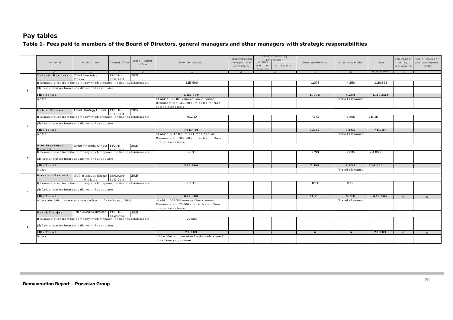# **Pay tables**

### *Table 1- Fees paid to members of the Board of Directors, general managers and other managers with strategic responsibilities*

| Full name                                                                | Position held                                | Term of office        | End of term of<br>office | Fixed remuneration                                              | Variable non-equity<br>Remuneration for<br>remuneration<br><b>Bonuses</b><br>participation in<br>Profit sharing<br>and other<br>committees<br>incentives |  | Non-cash benefits | Other remuneration | Total                      | Fair Value of<br>equity<br>remuneration | End-of-service or<br>post-employment<br>benefits |              |
|--------------------------------------------------------------------------|----------------------------------------------|-----------------------|--------------------------|-----------------------------------------------------------------|----------------------------------------------------------------------------------------------------------------------------------------------------------|--|-------------------|--------------------|----------------------------|-----------------------------------------|--------------------------------------------------|--------------|
| Valerio Battista                                                         |                                              | $\sim$<br>$1/1/2014-$ | $\Box$                   |                                                                 |                                                                                                                                                          |  |                   |                    |                            | $6 - 1 + 2 + 3 + 4 + 5$                 |                                                  |              |
| Chief Executive<br>Officer                                               |                                              | 31/12/2014            | 2015                     |                                                                 |                                                                                                                                                          |  |                   |                    |                            |                                         |                                                  |              |
| I) Remuneration from the company which prepares the financial statements |                                              |                       |                          | 1.115.500                                                       |                                                                                                                                                          |  |                   | 11.078             | 4.250                      | 1,130,828                               |                                                  |              |
| (II) Remuneration from subsidiaries and associates                       |                                              |                       |                          |                                                                 |                                                                                                                                                          |  |                   |                    |                            |                                         |                                                  |              |
| - 1                                                                      |                                              |                       |                          |                                                                 |                                                                                                                                                          |  |                   |                    |                            |                                         |                                                  |              |
| (III) Total<br>No te s                                                   |                                              |                       |                          | 1.115.500<br>of which: 970.000 euro as Gross Annual             |                                                                                                                                                          |  |                   | 11.078             | 4.250<br>Travel allo wance | 1.130.828                               |                                                  |              |
|                                                                          |                                              |                       |                          | Remuneration; 145.500 euro as fee for Non-                      |                                                                                                                                                          |  |                   |                    |                            |                                         |                                                  |              |
|                                                                          |                                              |                       |                          | competition clause                                              |                                                                                                                                                          |  |                   |                    |                            |                                         |                                                  |              |
| Fabio Romeo                                                              | Chief Strategy Officer   1/1/2014 -          |                       | 2015                     |                                                                 |                                                                                                                                                          |  |                   |                    |                            |                                         |                                                  |              |
| I) Remuneration from the company which prepares the financial statements |                                              | 31/12/2014            |                          | 701.710                                                         |                                                                                                                                                          |  |                   | 7.542              | 5.865                      | 715.117                                 |                                                  |              |
|                                                                          |                                              |                       |                          |                                                                 |                                                                                                                                                          |  |                   |                    |                            |                                         |                                                  |              |
| (II) Remuneration from subsidiaries and associates<br>$\overline{2}$     |                                              |                       |                          |                                                                 |                                                                                                                                                          |  |                   |                    |                            |                                         |                                                  |              |
| (III) Total                                                              |                                              |                       |                          | 701.7 10                                                        |                                                                                                                                                          |  |                   | 7.542              | 5.865                      | 715.117                                 |                                                  |              |
| No te s                                                                  |                                              |                       |                          | of which: 601.710 euro as Gross Annual                          |                                                                                                                                                          |  |                   |                    | Travel allo wance          |                                         |                                                  |              |
|                                                                          |                                              |                       |                          | Remuneration; 100.000 euro as fee for Non-                      |                                                                                                                                                          |  |                   |                    |                            |                                         |                                                  |              |
| Pier Francesco                                                           | Chief Financial Officer   1/1/2014 -         |                       | 2015                     | competition clause                                              |                                                                                                                                                          |  |                   |                    |                            |                                         |                                                  |              |
| Facchini                                                                 |                                              | 31/12/2014            |                          |                                                                 |                                                                                                                                                          |  |                   |                    |                            |                                         |                                                  |              |
| I) Remuneration from the company which prepares the financial statements |                                              |                       |                          | 525,000                                                         |                                                                                                                                                          |  |                   | 7.198              | 2.635                      | 534.833                                 |                                                  |              |
| 3<br>(II) Remuneration from subsidiaries and associates                  |                                              |                       |                          |                                                                 |                                                                                                                                                          |  |                   |                    |                            |                                         |                                                  |              |
| (III) Total                                                              |                                              |                       |                          | 525.000                                                         |                                                                                                                                                          |  |                   | 7.198              | 2.635                      | 534.833                                 |                                                  |              |
| No te s                                                                  |                                              |                       |                          |                                                                 |                                                                                                                                                          |  |                   |                    | Travel allo wance          |                                         |                                                  |              |
|                                                                          |                                              |                       |                          |                                                                 |                                                                                                                                                          |  |                   |                    |                            |                                         |                                                  |              |
| Massimo Battaini                                                         | SVP Business Energy 25/02/2014-<br>P rojects | 3 1/ 12/2014          | 2015                     |                                                                 |                                                                                                                                                          |  |                   |                    |                            |                                         |                                                  |              |
| I) Remuneration from the company which prepares the financial statements |                                              |                       |                          | 602.308                                                         |                                                                                                                                                          |  |                   | 11.318             | 9.180                      |                                         |                                                  |              |
| (II) Remuneration from subsidiaries and associates                       |                                              |                       |                          |                                                                 |                                                                                                                                                          |  |                   |                    |                            |                                         |                                                  |              |
| $\overline{4}$                                                           |                                              |                       |                          |                                                                 |                                                                                                                                                          |  |                   |                    |                            |                                         |                                                  |              |
| (III) Total                                                              |                                              |                       |                          | 602.308                                                         |                                                                                                                                                          |  |                   | 11.318             | 9.180                      | 622.806                                 | $\mathbf{0}$                                     | $\Omega$     |
| Notes: the indicated remuneration refers to the entire year 2014.        |                                              |                       |                          | of which: 532.308 euro as Gross Annual                          |                                                                                                                                                          |  |                   |                    | Travel allo wance          |                                         |                                                  |              |
|                                                                          |                                              |                       |                          | Remuneration ;70.000 euro as fee for Non-<br>competition clause |                                                                                                                                                          |  |                   |                    |                            |                                         |                                                  |              |
| Frank Dorjee                                                             | Non-executive director 1/1/2014              |                       | 2015                     |                                                                 |                                                                                                                                                          |  |                   |                    |                            |                                         |                                                  |              |
|                                                                          |                                              | 25/02/2014            |                          |                                                                 |                                                                                                                                                          |  |                   |                    |                            |                                         |                                                  |              |
| I) Remuneration from the company which prepares the financial statements |                                              |                       |                          | 27.083                                                          |                                                                                                                                                          |  |                   |                    |                            |                                         |                                                  |              |
| (II) Remuneration from subsidiaries and associates<br>5                  |                                              |                       |                          |                                                                 |                                                                                                                                                          |  |                   |                    |                            |                                         |                                                  |              |
| (III) Total                                                              |                                              |                       |                          | 27.083                                                          |                                                                                                                                                          |  |                   | $\mathbf{O}$       | $\mathbf{o}$               | 27.083                                  | $\mathbf{o}$                                     | $\mathbf{O}$ |
| No te s                                                                  |                                              |                       |                          | 2/24 of the remuneration for the undersigned                    |                                                                                                                                                          |  |                   |                    |                            |                                         |                                                  |              |
|                                                                          |                                              |                       |                          | consultancy agreement                                           |                                                                                                                                                          |  |                   |                    |                            |                                         |                                                  |              |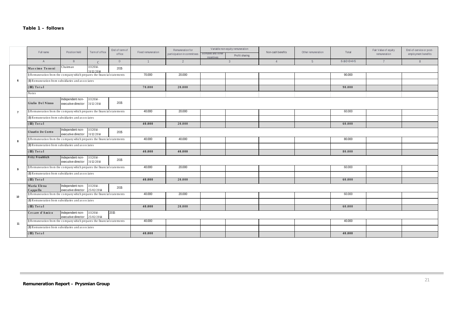|                |                                                                                                       | Full name<br>Position held                                   |                            | End of term of | Fixed remuneration | Remuneration for            |                                 | Variable non-equity remuneration | Non-cash benefits | Other remuneration | Total                   | Fair Value of equity | End-of-service or post- |
|----------------|-------------------------------------------------------------------------------------------------------|--------------------------------------------------------------|----------------------------|----------------|--------------------|-----------------------------|---------------------------------|----------------------------------|-------------------|--------------------|-------------------------|----------------------|-------------------------|
|                |                                                                                                       |                                                              | Term of office             | office         |                    | participation in committees | Bonuses and other<br>incentives | Profit sharing                   |                   |                    |                         | remuneration         | employment benefits     |
|                | $\overline{A}$                                                                                        | B                                                            | $\mathcal{C}$              | $\mathsf D$    | $\overline{1}$     | $\overline{2}$              |                                 | $\mathbf{3}$                     | $\overline{4}$    | 5 <sup>5</sup>     | $6 - 1 + 2 + 3 + 4 + 5$ | $\overline{7}$       | 8                       |
|                | Massimo Tononi                                                                                        | Chairman                                                     | $1/1/2014-$<br>31/12/2014  | 2015           |                    |                             |                                 |                                  |                   |                    |                         |                      |                         |
|                | I) Remuneration from the company which prepares the financial statements                              |                                                              |                            |                | 70.000             | 20.000                      |                                 |                                  |                   |                    | 90.000                  |                      |                         |
| 6              | (ID Remuneration from subsidiaries and associates)                                                    |                                                              |                            |                |                    |                             |                                 |                                  |                   |                    |                         |                      |                         |
|                | $(\mathbf{III})$ Total                                                                                |                                                              |                            |                | 70.000             | 20.000                      |                                 |                                  |                   |                    | 90.000                  |                      |                         |
|                | No te s                                                                                               |                                                              |                            |                |                    |                             |                                 |                                  |                   |                    |                         |                      |                         |
|                | Giulio Del Ninno                                                                                      | Independent non-<br>executive director                       | $1/1/2014$ -<br>31/12/2014 | 2015           |                    |                             |                                 |                                  |                   |                    |                         |                      |                         |
| $\overline{7}$ | I) Remuneration from the company which prepares the financial statements                              |                                                              |                            |                | 40.000             | 20.000                      |                                 |                                  |                   |                    | 60.000                  |                      |                         |
|                | (II) Remuneration from subsidiaries and associates                                                    |                                                              |                            |                |                    |                             |                                 |                                  |                   |                    |                         |                      |                         |
|                | $(\mathbf{III})$ Total                                                                                |                                                              |                            |                | 40.000             | 20.000                      |                                 |                                  |                   |                    | 60.000                  |                      |                         |
|                | Claudio De Conto                                                                                      | Independent non-<br>executive director $31/12/2014$          | $1/1/2014$ -               | 2015           |                    |                             |                                 |                                  |                   |                    |                         |                      |                         |
| 8              | I) Remuneration from the company which prepares the financial statements                              |                                                              |                            |                | 40.000             | 40.000                      |                                 |                                  |                   |                    | 80.000                  |                      |                         |
|                | (II) Remuneration from subsidiaries and associates                                                    |                                                              |                            |                |                    |                             |                                 |                                  |                   |                    |                         |                      |                         |
|                | $(\mathbf{III})$ Total                                                                                |                                                              |                            |                | 40.000             | 40.000                      |                                 |                                  |                   |                    | 80.000                  |                      |                         |
|                | <b>Fritz Froehlich</b><br>Independent non-<br>$1/1/2014$ -<br>2015<br>executive director $31/12/2014$ |                                                              |                            |                |                    |                             |                                 |                                  |                   |                    |                         |                      |                         |
| 9              | I) Remuneration from the company which prepares the financial statements                              |                                                              |                            |                | 40.000             | 20.000                      |                                 |                                  |                   |                    | 60.000                  |                      |                         |
|                | (II) Remuneration from subsidiaries and associates                                                    |                                                              |                            |                |                    |                             |                                 |                                  |                   |                    |                         |                      |                         |
|                | $(\mathbf{III})$ Total                                                                                |                                                              |                            |                | 40.000             | 20.000                      |                                 |                                  |                   |                    | 60.000                  |                      |                         |
|                | Maria Elena<br>Cappello                                                                               | Independent non-<br>executive director 25/02/2014            | $1/1/2014$ -               | 2015           |                    |                             |                                 |                                  |                   |                    |                         |                      |                         |
| 10             | I) Remuneration from the company which prepares the financial statements                              |                                                              |                            |                | 40.000             | 20.000                      |                                 |                                  |                   |                    | 60.000                  |                      |                         |
|                | $(\mathbb{I})$ Remuneration from subsidiaries and associates                                          |                                                              |                            |                |                    |                             |                                 |                                  |                   |                    |                         |                      |                         |
|                | $(\mathbf{I} \mathbf{I})$ Total                                                                       |                                                              |                            |                | 40.000             | 20.000                      |                                 |                                  |                   |                    | 60.000                  |                      |                         |
|                | Cesare d'Amico                                                                                        | Independent non- $VV2014 -$<br>executive director 25/02/2014 |                            | 2015           |                    |                             |                                 |                                  |                   |                    |                         |                      |                         |
| 11             | I) Remuneration from the company which prepares the financial statements                              |                                                              |                            |                | 40.000             |                             |                                 |                                  |                   |                    | 40.000                  |                      |                         |
|                | (ID Remuneration from subsidiaries and associates                                                     |                                                              |                            |                |                    |                             |                                 |                                  |                   |                    |                         |                      |                         |
|                | $(\mathbf{III})$ Total                                                                                |                                                              |                            |                | 40.000             |                             |                                 |                                  |                   |                    | 40.000                  |                      |                         |

**COL**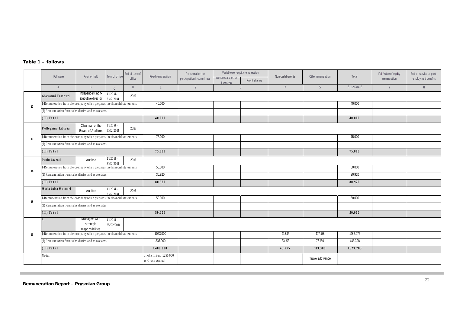#### *Table 1 – follows*

|    | Full name                                                                                      | Position held                                  | Term of office             | End of term of<br>office | Fixed remuneration                          | Remuneration for<br>participation in committees | Variable non-equity remuneration<br>Bonuses and other<br>Profit sharing<br>incentives | Non-cash benefits | Other remuneration | Total                   | Fair Value of equity<br>remuneration | End-of-service or post-<br>employment benefits |  |  |  |  |
|----|------------------------------------------------------------------------------------------------|------------------------------------------------|----------------------------|--------------------------|---------------------------------------------|-------------------------------------------------|---------------------------------------------------------------------------------------|-------------------|--------------------|-------------------------|--------------------------------------|------------------------------------------------|--|--|--|--|
|    | $\mathsf{A}$                                                                                   | $\overline{B}$                                 | $\mathcal{C}$              | D                        | $\overline{1}$                              | $\overline{2}$                                  | $\mathbf{3}$                                                                          | $\overline{4}$    | $5\overline{)}$    | $6 - 1 + 2 + 3 + 4 + 5$ | $\overline{7}$                       | 8                                              |  |  |  |  |
|    | Independent non-<br>$VV2014-$<br>2015<br>Gio vanni Tamburi<br>executive director<br>31/12/2014 |                                                |                            |                          |                                             |                                                 |                                                                                       |                   |                    |                         |                                      |                                                |  |  |  |  |
| 12 | I) Remuneration from the company which prepares the financial statements                       |                                                |                            |                          | 40.000                                      |                                                 |                                                                                       |                   |                    | 40.000                  |                                      |                                                |  |  |  |  |
|    | (II) Remuneration from subsidiaries and associates                                             |                                                |                            |                          |                                             |                                                 |                                                                                       |                   |                    |                         |                                      |                                                |  |  |  |  |
|    | $(\mathbf{I})$ Total                                                                           |                                                |                            |                          | 40.000                                      |                                                 |                                                                                       |                   |                    | 40.000                  |                                      |                                                |  |  |  |  |
|    | Pellegrino Libro ia                                                                            | Chairman of the<br>Board of Auditors           | $VV2014 -$<br>31/12/2014   | 2016                     |                                             |                                                 |                                                                                       |                   |                    |                         |                                      |                                                |  |  |  |  |
| 13 | I) Remuneration from the company which prepares the financial statements                       |                                                |                            |                          | 75.000                                      |                                                 |                                                                                       |                   |                    | 75.000                  |                                      |                                                |  |  |  |  |
|    | (II) Remuneration from subsidiaries and associates                                             |                                                |                            |                          |                                             |                                                 |                                                                                       |                   |                    |                         |                                      |                                                |  |  |  |  |
|    | $(\mathbf{I} \mathbf{I})$ Total                                                                |                                                |                            |                          | 75.000                                      |                                                 |                                                                                       |                   |                    | 75.000                  |                                      |                                                |  |  |  |  |
|    | Paolo Lazzati                                                                                  | Auditor                                        | VV2014<br>31/12/2014       | 2016                     |                                             |                                                 |                                                                                       |                   |                    |                         |                                      |                                                |  |  |  |  |
| 14 | I) Remuneration from the company which prepares the financial statements                       |                                                |                            |                          | 50.000                                      |                                                 |                                                                                       |                   |                    | 50.000                  |                                      |                                                |  |  |  |  |
|    | (II) Remuneration from subsidiaries and associates                                             |                                                |                            |                          | 30.920                                      |                                                 |                                                                                       |                   |                    | 30.920                  |                                      |                                                |  |  |  |  |
|    | $(\mathbf{I})$ Total                                                                           |                                                |                            |                          | 80.920                                      |                                                 |                                                                                       |                   |                    | 80.920                  |                                      |                                                |  |  |  |  |
|    | Maria Luisa Mosconi                                                                            | Auditor                                        | $1/1/2014$ -<br>31/12/2014 | 2016                     |                                             |                                                 |                                                                                       |                   |                    |                         |                                      |                                                |  |  |  |  |
| 15 | I) Remuneration from the company which prepares the financial statements                       |                                                |                            |                          | 50.000                                      |                                                 |                                                                                       |                   |                    | 50.000                  |                                      |                                                |  |  |  |  |
|    | (II) Remuneration from subsidiaries and associates                                             |                                                |                            |                          |                                             |                                                 |                                                                                       |                   |                    |                         |                                      |                                                |  |  |  |  |
|    | $(\mathbf{I})$ Total                                                                           |                                                |                            |                          | 50.000                                      |                                                 |                                                                                       |                   |                    | 50.000                  |                                      |                                                |  |  |  |  |
|    |                                                                                                | Managers with<br>strategic<br>responsibilities | $1/1/2014 -$<br>25/02/2014 |                          |                                             |                                                 |                                                                                       |                   |                    |                         |                                      |                                                |  |  |  |  |
| 16 | I) Remuneration from the company which prepares the financial statements                       |                                                |                            |                          | 1.063.000                                   |                                                 |                                                                                       | 12.817            | 107.158            | 1.182.975               |                                      |                                                |  |  |  |  |
|    | (II) Remuneration from subsidiaries and associates                                             |                                                |                            |                          | 337.000                                     |                                                 |                                                                                       | 33.158            | 76.150             | 446.308                 |                                      |                                                |  |  |  |  |
|    | $(\mathbf{I} \mathbf{I})$ Total                                                                |                                                |                            |                          | 1.400.000                                   |                                                 |                                                                                       | 45.975            | 183.308            | 1.629.283               |                                      |                                                |  |  |  |  |
|    | <b>Notes</b>                                                                                   |                                                |                            |                          | of which: Euro 1.250.000<br>as Gross Annual |                                                 |                                                                                       |                   | Travel allowance   |                         |                                      |                                                |  |  |  |  |

**COL**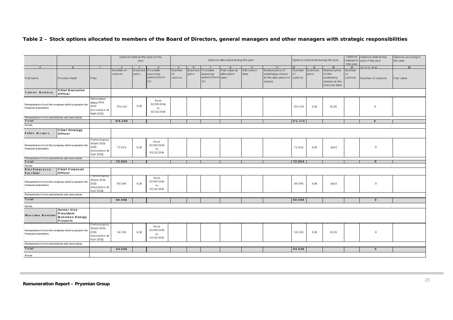#### *Table 2 – Stock options allocated to members of the Board of Directors, general managers and other managers with strategic responsibilities*

|                                                                          |                                                                       |                                                                     |                      |                   | Options held at the start of the             |                         |                   |                                                  |                                   |                    |                                                                                |              | Options           | Options held at the                                                    | Options accruing in     |                   |            |
|--------------------------------------------------------------------------|-----------------------------------------------------------------------|---------------------------------------------------------------------|----------------------|-------------------|----------------------------------------------|-------------------------|-------------------|--------------------------------------------------|-----------------------------------|--------------------|--------------------------------------------------------------------------------|--------------|-------------------|------------------------------------------------------------------------|-------------------------|-------------------|------------|
|                                                                          |                                                                       |                                                                     |                      | year              |                                              |                         |                   |                                                  | Options allocated during the year |                    |                                                                                |              |                   | Options exercised during the year                                      | expired in<br>the year  | end of the year   | the year   |
|                                                                          | B.                                                                    | $\mathbf{1}$                                                        |                      | $\mathbf{3}$      | $\Delta$                                     |                         |                   |                                                  |                                   |                    | IO                                                                             |              | 12                | $\mathbf{13}$                                                          | 14                      | $15=2+5-11-14$    | 16         |
| Full name                                                                | Position held                                                         | Plan                                                                | Number of<br>options | Exercise<br>price | Possible<br>exercise<br>period (from-<br>to) | Number<br>of<br>options | Exercise<br>price | Possible<br>exercise<br>period (from date<br>to) | Fair value at<br>allocation       | Allocation<br>date | Market price of<br>underlying shares<br>at the allocation of options<br>shares | Number<br>of | Exercise<br>price | Market price<br>of the<br>underlying<br>shares at the<br>exercise date | Number<br>of<br>options | Number of options | Fair value |
| Valerio Battista                                                         | <b>Chief Executive</b><br><b>Officer</b>                              |                                                                     |                      |                   |                                              |                         |                   |                                                  |                                   |                    |                                                                                |              |                   |                                                                        |                         |                   |            |
| Remuneration from the company which prepares the<br>financial statements |                                                                       | Performance<br>Share 2011-<br>2013<br>resolution 14<br>Apri 2011)   | 176.339              | 0,10              | fro m<br>02/09/2014<br>to<br>02/12/2014      |                         |                   |                                                  |                                   |                    |                                                                                | 176.339      | 0,10              | 15,30                                                                  |                         | $\overline{0}$    |            |
| Remuneration from subsidiaries and associates                            |                                                                       |                                                                     |                      |                   |                                              |                         |                   |                                                  |                                   |                    |                                                                                |              |                   |                                                                        |                         |                   |            |
| Total                                                                    |                                                                       |                                                                     | 176.339              |                   |                                              |                         |                   |                                                  |                                   |                    |                                                                                | 176.339      |                   |                                                                        |                         | $\theta$          |            |
| Notes                                                                    |                                                                       |                                                                     |                      |                   |                                              |                         |                   |                                                  |                                   |                    |                                                                                |              |                   |                                                                        |                         |                   |            |
| Fabio Romeo                                                              | <b>Chief Strategy</b><br><b>Officer</b>                               |                                                                     |                      |                   |                                              |                         |                   |                                                  |                                   |                    |                                                                                |              |                   |                                                                        |                         |                   |            |
| Remuneration from the company which prepares the<br>financial statements |                                                                       | Performance<br>Share 2011-<br>2013<br>resolution 14<br>A pri 2011)  | 72.924               | 0,10              | fro m<br>02/09/2014<br>to<br>02/12/2014      |                         |                   |                                                  |                                   |                    |                                                                                | 72.924       | 0,10              | 14,61                                                                  |                         | $\theta$          |            |
| Remuneration from subsidiaries and associates                            |                                                                       |                                                                     |                      |                   |                                              |                         |                   |                                                  |                                   |                    |                                                                                |              |                   |                                                                        |                         |                   |            |
| Total                                                                    |                                                                       |                                                                     | 72.924               |                   |                                              |                         |                   |                                                  |                                   |                    |                                                                                | 72.924       |                   |                                                                        |                         | $\mathbf{0}$      |            |
| Notes                                                                    |                                                                       |                                                                     |                      |                   |                                              |                         |                   |                                                  |                                   |                    |                                                                                |              |                   |                                                                        |                         |                   |            |
| Pier Francesco<br>Facchini                                               | <b>Chief Financial</b><br>Officer                                     | Performance                                                         |                      |                   |                                              |                         |                   |                                                  |                                   |                    |                                                                                |              |                   |                                                                        |                         |                   |            |
| Remuneration from the company which prepares the<br>financial statements |                                                                       | Share 2011-<br>2013<br>resolution 14<br>A pri 2011)                 | 60.598               | 0,10              | fro m<br>02/09/2014<br>to<br>02/12/2014      |                         |                   |                                                  |                                   |                    |                                                                                | 60.598       | 0,10              | 14,61                                                                  |                         | $\overline{0}$    |            |
| Remuneration from subsidiaries and associates                            |                                                                       |                                                                     |                      |                   |                                              |                         |                   |                                                  |                                   |                    |                                                                                |              |                   |                                                                        |                         |                   |            |
| Total                                                                    |                                                                       |                                                                     | 60.598               |                   |                                              |                         |                   |                                                  |                                   |                    |                                                                                | 60.598       |                   |                                                                        |                         | $\mathbf{0}$      |            |
| Notes                                                                    |                                                                       |                                                                     |                      |                   |                                              |                         |                   |                                                  |                                   |                    |                                                                                |              |                   |                                                                        |                         |                   |            |
| Massimo Battaini                                                         | <b>Senior Vice</b><br>President<br><b>Business Energy</b><br>Projects |                                                                     |                      |                   |                                              |                         |                   |                                                  |                                   |                    |                                                                                |              |                   |                                                                        |                         |                   |            |
| Remuneration from the company which prepares the<br>financial statements |                                                                       | Performance<br>Share 2011-<br>2013<br>(resolution 14<br>A pri 2011) | 54.538               | 0,10              | fro m<br>02/09/2014<br>to<br>02/12/2014      |                         |                   |                                                  |                                   |                    |                                                                                | 54.538       | 0,10              | 15,59                                                                  |                         | $\mathbf{0}$      |            |
|                                                                          | Remuneration from subsidiaries and associates                         |                                                                     |                      |                   |                                              |                         |                   |                                                  |                                   |                    |                                                                                |              |                   |                                                                        |                         |                   |            |
| Total                                                                    |                                                                       |                                                                     | 54.538               |                   |                                              |                         |                   |                                                  |                                   |                    |                                                                                | 54.538       |                   |                                                                        |                         | $\mathbf 0$       |            |
| Notes                                                                    |                                                                       |                                                                     |                      |                   |                                              |                         |                   |                                                  |                                   |                    |                                                                                |              |                   |                                                                        |                         |                   |            |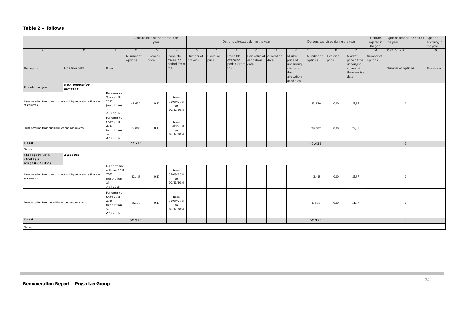#### *Table 2 – follows*

|                                                                          |                           | Options held at the start of the<br>year                              |                      |                   | Options allocated during the year            |                      |                   |                                                  |                                        | Options exercised during the year |                                                                                 |                      | Options<br>expired in<br>the year | Options held at the end of Options<br>the year                            | accruing in<br>the year |                   |                 |
|--------------------------------------------------------------------------|---------------------------|-----------------------------------------------------------------------|----------------------|-------------------|----------------------------------------------|----------------------|-------------------|--------------------------------------------------|----------------------------------------|-----------------------------------|---------------------------------------------------------------------------------|----------------------|-----------------------------------|---------------------------------------------------------------------------|-------------------------|-------------------|-----------------|
| $\overline{A}$                                                           | B                         | $\mathbf{1}$                                                          | 2                    | $\overline{3}$    | $\overline{4}$                               | 5 <sup>5</sup>       | 6                 | $\overline{7}$                                   | 8                                      | 9                                 | 10 <sup>°</sup>                                                                 | 11                   | 12                                | 13                                                                        | 14                      | $15=2+5-11-14$    | $\overline{16}$ |
| Full name                                                                | Position held             | Plan                                                                  | Number of<br>options | Exercise<br>price | Possible<br>exercise<br>period (from-<br>to) | Number of<br>options | Exercise<br>price | Possible<br>exercise<br>period (from-date<br>to) | Fair value at Allocation<br>allocation | date                              | Market<br>price of<br>underlying<br>shares at<br>the<br>allocation<br>of shares | Number of<br>options | Exercise<br>price                 | Market<br>price of the<br>underlying<br>shares at<br>the exercise<br>date | Number of<br>options    | Number of options | Fair value      |
| Frank Dorjee                                                             | Non-executive<br>director |                                                                       |                      |                   |                                              |                      |                   |                                                  |                                        |                                   |                                                                                 |                      |                                   |                                                                           |                         |                   |                 |
| Remuneration from the company which prepares the financial<br>statements |                           | Performance<br>Share 2011-<br>2013<br>(resolution<br>14<br>Apri 2011) | 43.630               | 0,10              | fro m<br>02/09/2014<br>to<br>02/12/2014      |                      |                   |                                                  |                                        |                                   |                                                                                 | 43.630               | 0,10                              | 15,87                                                                     |                         | $\boldsymbol{0}$  |                 |
| Remuneration from subsidiaries and associates                            |                           | Performance<br>Share 2011-<br>2013<br>(resolution<br>14<br>Apri 2011) | 29.087               | 0,10              | fro m<br>02/09/2014<br>to<br>02/12/2014      |                      |                   |                                                  |                                        |                                   |                                                                                 | 29.087               | 0,10                              | 15,87                                                                     |                         |                   |                 |
| Total                                                                    |                           |                                                                       | 72.717               |                   |                                              |                      |                   |                                                  |                                        |                                   |                                                                                 | 43.630               |                                   |                                                                           |                         | $\mathbf{0}$      |                 |
| Notes                                                                    |                           |                                                                       |                      |                   |                                              |                      |                   |                                                  |                                        |                                   |                                                                                 |                      |                                   |                                                                           |                         |                   |                 |
| Managers with<br>strategic<br>re s po ns ibilities                       | 2 people                  |                                                                       |                      |                   |                                              |                      |                   |                                                  |                                        |                                   |                                                                                 |                      |                                   |                                                                           |                         |                   |                 |
| Remuneration from the company which prepares the financial<br>statements |                           | Performanc<br>e Share 2011<br>2013<br>(resolution<br>14<br>Apri 2011) | 42.418               | 0,10              | fro m<br>02/09/2014<br>to<br>02/12/2014      |                      |                   |                                                  |                                        |                                   |                                                                                 | 42.418               | 0,10                              | 15,37                                                                     |                         | $\mathbf{0}$      |                 |
| Remuneration from subsidiaries and associates                            |                           | Performance<br>Share 2011-<br>2013<br>(resolution<br>14<br>Apri 2011) | 10.558               | 0,10              | fro m<br>02/09/2014<br>to<br>02/12/2014      |                      |                   |                                                  |                                        |                                   |                                                                                 | 10.558               | 0,10                              | 14,77                                                                     |                         | $\overline{0}$    |                 |
| Total                                                                    |                           |                                                                       | 52.976               |                   |                                              |                      |                   |                                                  |                                        |                                   |                                                                                 | 52.976               |                                   |                                                                           |                         | $\pmb{0}$         |                 |
| Notes                                                                    |                           |                                                                       |                      |                   |                                              |                      |                   |                                                  |                                        |                                   |                                                                                 |                      |                                   |                                                                           |                         |                   |                 |

**COL**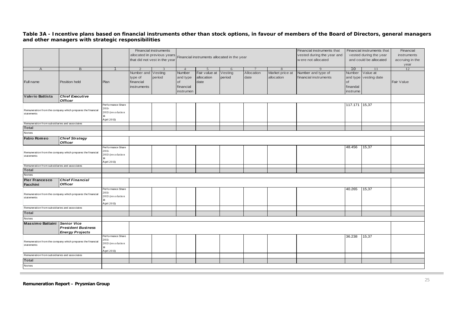#### *Table 3A - Incentive plans based on financial instruments other than stock options, in favour of members of the Board of Directors, general managers and other managers with strategic responsibilities*

|                                                                          |                                                            |                             |             | Financial instruments         |           |                                             |         |            |                 | Financial instruments that |                        | Financial instruments that | Financial       |
|--------------------------------------------------------------------------|------------------------------------------------------------|-----------------------------|-------------|-------------------------------|-----------|---------------------------------------------|---------|------------|-----------------|----------------------------|------------------------|----------------------------|-----------------|
|                                                                          |                                                            | allocated in previous years |             |                               |           |                                             |         |            |                 | vested during the year and | vested during the year |                            | instruments     |
|                                                                          |                                                            |                             |             | that did not vest in the year |           | Financial instruments allocated in the year |         |            |                 | w ere not allocated        | and could be allocated |                            | accruing in the |
|                                                                          |                                                            |                             |             |                               |           |                                             |         |            |                 |                            |                        |                            | year            |
| $\overline{A}$                                                           | B                                                          |                             |             |                               | $4 \cdot$ | $\overline{\phantom{0}}$                    | 6       |            | 8               |                            | 10                     |                            | 12              |
|                                                                          |                                                            |                             | Number and  | Vesting                       | Number    | Fair value at                               | Vesting | Allocation | Market price at | Number and type of         | Number                 | Value at                   |                 |
|                                                                          |                                                            |                             | type of     | period                        | and type  | allocation                                  | period  | date       | allocation      | financial instruments      |                        | and type vesting date      |                 |
| Full name                                                                | Position held                                              | Plan                        | financial   |                               | of        | date                                        |         |            |                 |                            | of                     |                            | Fair Value      |
|                                                                          |                                                            |                             | instruments |                               | financial |                                             |         |            |                 |                            | finandal               |                            |                 |
|                                                                          |                                                            |                             |             |                               | instrumen |                                             |         |            |                 |                            | instrume               |                            |                 |
| Valerio Battista                                                         | <b>Chief Executive</b>                                     |                             |             |                               |           |                                             |         |            |                 |                            |                        |                            |                 |
|                                                                          | <b>Officer</b>                                             |                             |             |                               |           |                                             |         |            |                 |                            |                        |                            |                 |
|                                                                          |                                                            | Performance Share           |             |                               |           |                                             |         |            |                 |                            | 117.171 15,37          |                            |                 |
|                                                                          | Remuneration from the company which prepares the financial | 2011-                       |             |                               |           |                                             |         |            |                 |                            |                        |                            |                 |
| statements                                                               |                                                            | 2013 (resolution            |             |                               |           |                                             |         |            |                 |                            |                        |                            |                 |
|                                                                          |                                                            | 14<br>Apri 2011)            |             |                               |           |                                             |         |            |                 |                            |                        |                            |                 |
| Remuneration from subsidiaries and associates                            |                                                            |                             |             |                               |           |                                             |         |            |                 |                            |                        |                            |                 |
| <b>Total</b>                                                             |                                                            |                             |             |                               |           |                                             |         |            |                 |                            |                        |                            |                 |
| Notes                                                                    |                                                            |                             |             |                               |           |                                             |         |            |                 |                            |                        |                            |                 |
| <b>Fabio Romeo</b>                                                       | <b>Chief Strategy</b>                                      |                             |             |                               |           |                                             |         |            |                 |                            |                        |                            |                 |
|                                                                          | <b>Officer</b>                                             |                             |             |                               |           |                                             |         |            |                 |                            |                        |                            |                 |
|                                                                          |                                                            | Performance Share           |             |                               |           |                                             |         |            |                 |                            | 48.456                 | 15,37                      |                 |
|                                                                          | Remuneration from the company which prepares the financial | 2011-                       |             |                               |           |                                             |         |            |                 |                            |                        |                            |                 |
| statements                                                               |                                                            | 2013 (resolution            |             |                               |           |                                             |         |            |                 |                            |                        |                            |                 |
|                                                                          |                                                            |                             |             |                               |           |                                             |         |            |                 |                            |                        |                            |                 |
| Remuneration from subsidiaries and associates                            |                                                            | Apri 2011)                  |             |                               |           |                                             |         |            |                 |                            |                        |                            |                 |
| <b>Total</b>                                                             |                                                            |                             |             |                               |           |                                             |         |            |                 |                            |                        |                            |                 |
| Notes                                                                    |                                                            |                             |             |                               |           |                                             |         |            |                 |                            |                        |                            |                 |
| <b>Pier Francesco</b>                                                    | <b>Chief Financial</b>                                     |                             |             |                               |           |                                             |         |            |                 |                            |                        |                            |                 |
| Facchini                                                                 | <b>Officer</b>                                             |                             |             |                               |           |                                             |         |            |                 |                            |                        |                            |                 |
|                                                                          |                                                            | Performance Share           |             |                               |           |                                             |         |            |                 |                            | 40.265                 | 15,37                      |                 |
|                                                                          |                                                            | 2011-                       |             |                               |           |                                             |         |            |                 |                            |                        |                            |                 |
| statements                                                               | Remuneration from the company which prepares the financial | 2013 (resolution            |             |                               |           |                                             |         |            |                 |                            |                        |                            |                 |
|                                                                          |                                                            | 14                          |             |                               |           |                                             |         |            |                 |                            |                        |                            |                 |
| Remuneration from subsidiaries and associates                            |                                                            | Apri 2011)                  |             |                               |           |                                             |         |            |                 |                            |                        |                            |                 |
|                                                                          |                                                            |                             |             |                               |           |                                             |         |            |                 |                            |                        |                            |                 |
| <b>Total</b>                                                             |                                                            |                             |             |                               |           |                                             |         |            |                 |                            |                        |                            |                 |
| Notes                                                                    |                                                            |                             |             |                               |           |                                             |         |            |                 |                            |                        |                            |                 |
| <b>Massimo Battaini</b>                                                  | Senior Vice                                                |                             |             |                               |           |                                             |         |            |                 |                            |                        |                            |                 |
|                                                                          | <b>President Business</b>                                  |                             |             |                               |           |                                             |         |            |                 |                            |                        |                            |                 |
|                                                                          | <b>Energy Projects</b>                                     |                             |             |                               |           |                                             |         |            |                 |                            |                        |                            |                 |
| Remuneration from the company which prepares the financial<br>statements |                                                            | Performance Share<br>2011-  |             |                               |           |                                             |         |            |                 |                            | 36.238                 | 15,37                      |                 |
|                                                                          |                                                            | 2013 (resolution            |             |                               |           |                                             |         |            |                 |                            |                        |                            |                 |
|                                                                          |                                                            |                             |             |                               |           |                                             |         |            |                 |                            |                        |                            |                 |
|                                                                          |                                                            | Apri 2011)                  |             |                               |           |                                             |         |            |                 |                            |                        |                            |                 |
| Remuneration from subsidiaries and associates                            |                                                            |                             |             |                               |           |                                             |         |            |                 |                            |                        |                            |                 |
| <b>Total</b>                                                             |                                                            |                             |             |                               |           |                                             |         |            |                 |                            |                        |                            |                 |
| Notes                                                                    |                                                            |                             |             |                               |           |                                             |         |            |                 |                            |                        |                            |                 |
|                                                                          |                                                            |                             |             |                               |           |                                             |         |            |                 |                            |                        |                            |                 |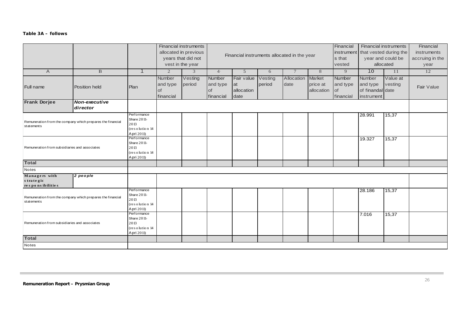#### *Table 3A – follows*

|                                                                          |                           |                                                                    |                                              | <b>Financial instruments</b><br>allocated in previous<br>years that did not<br>vest in the year |                                       | Financial instruments allocated in the year |                   |                    | Financial<br>instrument<br>s that<br>vested |                                              | <b>Financial instruments</b><br>that vested during the<br>year and could be<br>allocated | Financial<br>instruments<br>accruing in the<br>year |            |
|--------------------------------------------------------------------------|---------------------------|--------------------------------------------------------------------|----------------------------------------------|-------------------------------------------------------------------------------------------------|---------------------------------------|---------------------------------------------|-------------------|--------------------|---------------------------------------------|----------------------------------------------|------------------------------------------------------------------------------------------|-----------------------------------------------------|------------|
| $\overline{A}$                                                           | $\mathbf{B}$              | $\mathbf 1$                                                        | 2                                            | 3                                                                                               | $4 \cdot$                             | 5                                           | 6                 | $7\phantom{.0}$    | 8                                           | 9                                            | 10                                                                                       | 11                                                  | 12         |
| Full name                                                                | Position held             | Plan                                                               | Number<br>and type<br><b>of</b><br>financial | Vesting<br>period                                                                               | Number<br>and type<br>of<br>financial | Fair value<br>at<br>allocation<br>date      | Vesting<br>period | Allocation<br>date | Market<br>price at<br>allocation            | Number<br>and type<br><b>of</b><br>financial | Number<br>and type<br>of finandal date<br>instrument                                     | Value at<br>vesting                                 | Fair Value |
| <b>Frank Dorjee</b>                                                      | Non-executive<br>director |                                                                    |                                              |                                                                                                 |                                       |                                             |                   |                    |                                             |                                              |                                                                                          |                                                     |            |
| Remuneration from the company which prepares the financial<br>statements |                           | Performance<br>Share 2011-<br>2013<br>(resolution 14<br>Apri 2011) |                                              |                                                                                                 |                                       |                                             |                   |                    |                                             |                                              | 28.991                                                                                   | 15,37                                               |            |
| Remuneration from subsidiaries and associates                            |                           | Performance<br>Share 2011-<br>2013<br>(resolution 14<br>Apri 2011) |                                              |                                                                                                 |                                       |                                             |                   |                    |                                             |                                              | 19.327                                                                                   | 15,37                                               |            |
| <b>Total</b>                                                             |                           |                                                                    |                                              |                                                                                                 |                                       |                                             |                   |                    |                                             |                                              |                                                                                          |                                                     |            |
| Notes                                                                    |                           |                                                                    |                                              |                                                                                                 |                                       |                                             |                   |                    |                                             |                                              |                                                                                          |                                                     |            |
| Managers with<br>strategic<br>responsibilities                           | 2 people                  |                                                                    |                                              |                                                                                                 |                                       |                                             |                   |                    |                                             |                                              |                                                                                          |                                                     |            |
| Remuneration from the company which prepares the financial<br>statements |                           | Performance<br>Share 2011-<br>2013<br>(resolution 14<br>Apri 2011) |                                              |                                                                                                 |                                       |                                             |                   |                    |                                             |                                              | 28.186                                                                                   | 15,37                                               |            |
| Remuneration from subsidiaries and associates                            |                           | Performance<br>Share 2011-<br>2013<br>(resolution 14<br>Apri 2011) |                                              |                                                                                                 |                                       |                                             |                   |                    |                                             |                                              | 7.016                                                                                    | 15,37                                               |            |
| <b>Total</b>                                                             |                           |                                                                    |                                              |                                                                                                 |                                       |                                             |                   |                    |                                             |                                              |                                                                                          |                                                     |            |
| Notes                                                                    |                           |                                                                    |                                              |                                                                                                 |                                       |                                             |                   |                    |                                             |                                              |                                                                                          |                                                     |            |